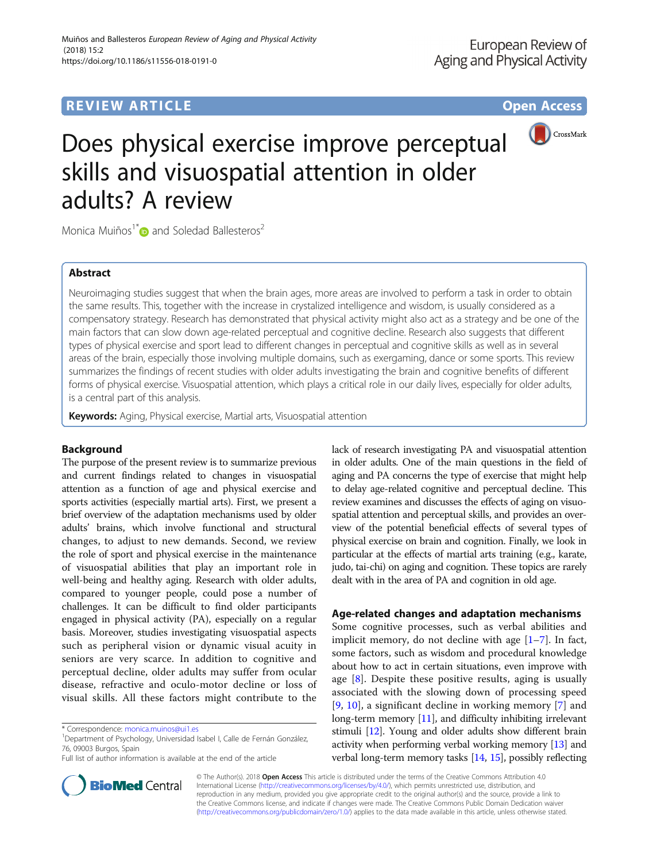# **REVIEW ARTICLE External Structure of the Contract Contract Contract Contract Contract Contract Contract Contract Contract Contract Contract Contract Contract Contract Contract Contract Contract Contract Contract Contrac**



# Does physical exercise improve perceptual skills and visuospatial attention in older adults? A review

Monica Muiños<sup>1\*</sup> and Soledad Ballesteros<sup>2</sup>

# Abstract

Neuroimaging studies suggest that when the brain ages, more areas are involved to perform a task in order to obtain the same results. This, together with the increase in crystalized intelligence and wisdom, is usually considered as a compensatory strategy. Research has demonstrated that physical activity might also act as a strategy and be one of the main factors that can slow down age-related perceptual and cognitive decline. Research also suggests that different types of physical exercise and sport lead to different changes in perceptual and cognitive skills as well as in several areas of the brain, especially those involving multiple domains, such as exergaming, dance or some sports. This review summarizes the findings of recent studies with older adults investigating the brain and cognitive benefits of different forms of physical exercise. Visuospatial attention, which plays a critical role in our daily lives, especially for older adults, is a central part of this analysis.

Keywords: Aging, Physical exercise, Martial arts, Visuospatial attention

# Background

The purpose of the present review is to summarize previous and current findings related to changes in visuospatial attention as a function of age and physical exercise and sports activities (especially martial arts). First, we present a brief overview of the adaptation mechanisms used by older adults' brains, which involve functional and structural changes, to adjust to new demands. Second, we review the role of sport and physical exercise in the maintenance of visuospatial abilities that play an important role in well-being and healthy aging. Research with older adults, compared to younger people, could pose a number of challenges. It can be difficult to find older participants engaged in physical activity (PA), especially on a regular basis. Moreover, studies investigating visuospatial aspects such as peripheral vision or dynamic visual acuity in seniors are very scarce. In addition to cognitive and perceptual decline, older adults may suffer from ocular disease, refractive and oculo-motor decline or loss of visual skills. All these factors might contribute to the

<sup>1</sup>Department of Psychology, Universidad Isabel I, Calle de Fernán González, 76, 09003 Burgos, Spain



# Age-related changes and adaptation mechanisms

Some cognitive processes, such as verbal abilities and implicit memory, do not decline with age  $[1–7]$  $[1–7]$  $[1–7]$  $[1–7]$  $[1–7]$ . In fact, some factors, such as wisdom and procedural knowledge about how to act in certain situations, even improve with age  $[8]$  $[8]$ . Despite these positive results, aging is usually associated with the slowing down of processing speed [[9](#page-9-0), [10](#page-9-0)], a significant decline in working memory [[7](#page-9-0)] and long-term memory [[11](#page-9-0)], and difficulty inhibiting irrelevant stimuli [[12](#page-9-0)]. Young and older adults show different brain activity when performing verbal working memory [\[13\]](#page-9-0) and verbal long-term memory tasks [\[14,](#page-9-0) [15](#page-9-0)], possibly reflecting



© The Author(s). 2018 Open Access This article is distributed under the terms of the Creative Commons Attribution 4.0 International License [\(http://creativecommons.org/licenses/by/4.0/](http://creativecommons.org/licenses/by/4.0/)), which permits unrestricted use, distribution, and reproduction in any medium, provided you give appropriate credit to the original author(s) and the source, provide a link to the Creative Commons license, and indicate if changes were made. The Creative Commons Public Domain Dedication waiver [\(http://creativecommons.org/publicdomain/zero/1.0/](http://creativecommons.org/publicdomain/zero/1.0/)) applies to the data made available in this article, unless otherwise stated.

<sup>\*</sup> Correspondence: [monica.muinos@ui1.es](mailto:monica.muinos@ui1.es) <sup>1</sup>

Full list of author information is available at the end of the article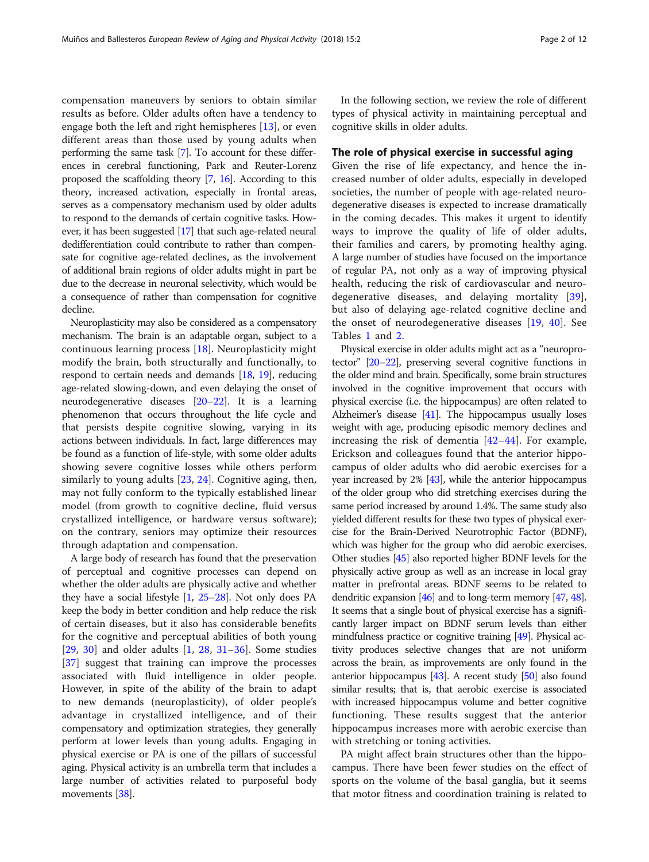compensation maneuvers by seniors to obtain similar results as before. Older adults often have a tendency to engage both the left and right hemispheres [\[13](#page-9-0)], or even different areas than those used by young adults when performing the same task [[7\]](#page-9-0). To account for these differences in cerebral functioning, Park and Reuter-Lorenz proposed the scaffolding theory [\[7,](#page-9-0) [16\]](#page-9-0). According to this theory, increased activation, especially in frontal areas, serves as a compensatory mechanism used by older adults to respond to the demands of certain cognitive tasks. However, it has been suggested [[17](#page-9-0)] that such age-related neural dedifferentiation could contribute to rather than compensate for cognitive age-related declines, as the involvement of additional brain regions of older adults might in part be due to the decrease in neuronal selectivity, which would be a consequence of rather than compensation for cognitive decline.

Neuroplasticity may also be considered as a compensatory mechanism. The brain is an adaptable organ, subject to a continuous learning process [[18\]](#page-9-0). Neuroplasticity might modify the brain, both structurally and functionally, to respond to certain needs and demands [\[18,](#page-9-0) [19\]](#page-9-0), reducing age-related slowing-down, and even delaying the onset of neurodegenerative diseases [\[20](#page-9-0)–[22\]](#page-9-0). It is a learning phenomenon that occurs throughout the life cycle and that persists despite cognitive slowing, varying in its actions between individuals. In fact, large differences may be found as a function of life-style, with some older adults showing severe cognitive losses while others perform similarly to young adults [[23,](#page-9-0) [24](#page-9-0)]. Cognitive aging, then, may not fully conform to the typically established linear model (from growth to cognitive decline, fluid versus crystallized intelligence, or hardware versus software); on the contrary, seniors may optimize their resources through adaptation and compensation.

A large body of research has found that the preservation of perceptual and cognitive processes can depend on whether the older adults are physically active and whether they have a social lifestyle [\[1,](#page-9-0) [25](#page-9-0)–[28](#page-10-0)]. Not only does PA keep the body in better condition and help reduce the risk of certain diseases, but it also has considerable benefits for the cognitive and perceptual abilities of both young [[29,](#page-10-0) [30](#page-10-0)] and older adults  $[1, 28, 31-36]$  $[1, 28, 31-36]$  $[1, 28, 31-36]$  $[1, 28, 31-36]$  $[1, 28, 31-36]$  $[1, 28, 31-36]$  $[1, 28, 31-36]$ . Some studies [[37\]](#page-10-0) suggest that training can improve the processes associated with fluid intelligence in older people. However, in spite of the ability of the brain to adapt to new demands (neuroplasticity), of older people's advantage in crystallized intelligence, and of their compensatory and optimization strategies, they generally perform at lower levels than young adults. Engaging in physical exercise or PA is one of the pillars of successful aging. Physical activity is an umbrella term that includes a large number of activities related to purposeful body movements [[38](#page-10-0)].

In the following section, we review the role of different types of physical activity in maintaining perceptual and cognitive skills in older adults.

# The role of physical exercise in successful aging

Given the rise of life expectancy, and hence the increased number of older adults, especially in developed societies, the number of people with age-related neurodegenerative diseases is expected to increase dramatically in the coming decades. This makes it urgent to identify ways to improve the quality of life of older adults, their families and carers, by promoting healthy aging. A large number of studies have focused on the importance of regular PA, not only as a way of improving physical health, reducing the risk of cardiovascular and neuro-degenerative diseases, and delaying mortality [[39](#page-10-0)], but also of delaying age-related cognitive decline and the onset of neurodegenerative diseases [[19](#page-9-0), [40](#page-10-0)]. See Tables [1](#page-2-0) and [2.](#page-4-0)

Physical exercise in older adults might act as a "neuroprotector" [[20](#page-9-0)–[22](#page-9-0)], preserving several cognitive functions in the older mind and brain. Specifically, some brain structures involved in the cognitive improvement that occurs with physical exercise (i.e. the hippocampus) are often related to Alzheimer's disease [\[41\]](#page-10-0). The hippocampus usually loses weight with age, producing episodic memory declines and increasing the risk of dementia [\[42](#page-10-0)–[44](#page-10-0)]. For example, Erickson and colleagues found that the anterior hippocampus of older adults who did aerobic exercises for a year increased by 2% [\[43\]](#page-10-0), while the anterior hippocampus of the older group who did stretching exercises during the same period increased by around 1.4%. The same study also yielded different results for these two types of physical exercise for the Brain-Derived Neurotrophic Factor (BDNF), which was higher for the group who did aerobic exercises. Other studies [[45\]](#page-10-0) also reported higher BDNF levels for the physically active group as well as an increase in local gray matter in prefrontal areas. BDNF seems to be related to dendritic expansion [\[46\]](#page-10-0) and to long-term memory [\[47](#page-10-0), [48](#page-10-0)]. It seems that a single bout of physical exercise has a significantly larger impact on BDNF serum levels than either mindfulness practice or cognitive training [\[49](#page-10-0)]. Physical activity produces selective changes that are not uniform across the brain, as improvements are only found in the anterior hippocampus [\[43](#page-10-0)]. A recent study [\[50\]](#page-10-0) also found similar results; that is, that aerobic exercise is associated with increased hippocampus volume and better cognitive functioning. These results suggest that the anterior hippocampus increases more with aerobic exercise than with stretching or toning activities.

PA might affect brain structures other than the hippocampus. There have been fewer studies on the effect of sports on the volume of the basal ganglia, but it seems that motor fitness and coordination training is related to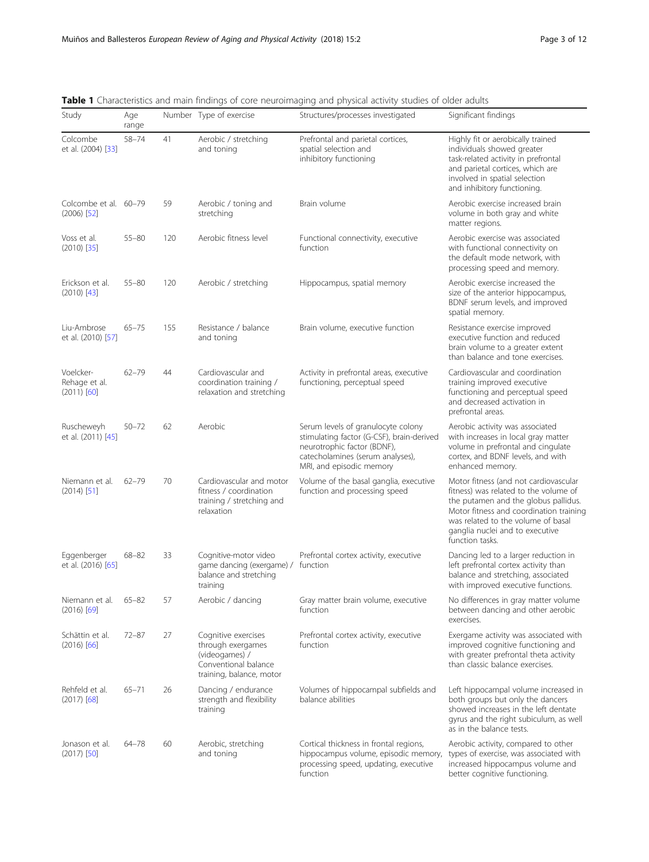| Page 3 of 12 |  |  |  |
|--------------|--|--|--|
|--------------|--|--|--|

| Study                                       | Age<br>range |     | Number Type of exercise                                                                                        | $\overline{\phantom{a}}$<br>Structures/processes investigated                                                                                                                  | Significant findings                                                                                                                                                                                                                                          |
|---------------------------------------------|--------------|-----|----------------------------------------------------------------------------------------------------------------|--------------------------------------------------------------------------------------------------------------------------------------------------------------------------------|---------------------------------------------------------------------------------------------------------------------------------------------------------------------------------------------------------------------------------------------------------------|
| Colcombe<br>et al. (2004) [33]              | $58 - 74$    | 41  | Aerobic / stretching<br>and toning                                                                             | Prefrontal and parietal cortices,<br>spatial selection and<br>inhibitory functioning                                                                                           | Highly fit or aerobically trained<br>individuals showed greater<br>task-related activity in prefrontal<br>and parietal cortices, which are<br>involved in spatial selection<br>and inhibitory functioning.                                                    |
| Colcombe et al. 60-79<br>$(2006)$ [52]      |              | 59  | Aerobic / toning and<br>stretching                                                                             | Brain volume                                                                                                                                                                   | Aerobic exercise increased brain<br>volume in both gray and white<br>matter regions.                                                                                                                                                                          |
| Voss et al.<br>$(2010)$ [35]                | $55 - 80$    | 120 | Aerobic fitness level                                                                                          | Functional connectivity, executive<br>function                                                                                                                                 | Aerobic exercise was associated<br>with functional connectivity on<br>the default mode network, with<br>processing speed and memory.                                                                                                                          |
| Erickson et al.<br>$(2010)$ [43]            | $55 - 80$    | 120 | Aerobic / stretching                                                                                           | Hippocampus, spatial memory                                                                                                                                                    | Aerobic exercise increased the<br>size of the anterior hippocampus,<br>BDNF serum levels, and improved<br>spatial memory.                                                                                                                                     |
| Liu-Ambrose<br>et al. (2010) [57]           | $65 - 75$    | 155 | Resistance / balance<br>and toning                                                                             | Brain volume, executive function                                                                                                                                               | Resistance exercise improved<br>executive function and reduced<br>brain volume to a greater extent<br>than balance and tone exercises.                                                                                                                        |
| Voelcker-<br>Rehage et al.<br>$(2011)$ [60] | $62 - 79$    | 44  | Cardiovascular and<br>coordination training /<br>relaxation and stretching                                     | Activity in prefrontal areas, executive<br>functioning, perceptual speed                                                                                                       | Cardiovascular and coordination<br>training improved executive<br>functioning and perceptual speed<br>and decreased activation in<br>prefrontal areas.                                                                                                        |
| Ruscheweyh<br>et al. (2011) [45]            | $50 - 72$    | 62  | Aerobic                                                                                                        | Serum levels of granulocyte colony<br>stimulating factor (G-CSF), brain-derived<br>neurotrophic factor (BDNF),<br>catecholamines (serum analyses),<br>MRI, and episodic memory | Aerobic activity was associated<br>with increases in local gray matter<br>volume in prefrontal and cingulate<br>cortex, and BDNF levels, and with<br>enhanced memory.                                                                                         |
| Niemann et al.<br>$(2014)$ [51]             | $62 - 79$    | 70  | Cardiovascular and motor<br>fitness / coordination<br>training / stretching and<br>relaxation                  | Volume of the basal ganglia, executive<br>function and processing speed                                                                                                        | Motor fitness (and not cardiovascular<br>fitness) was related to the volume of<br>the putamen and the globus pallidus.<br>Motor fitness and coordination training<br>was related to the volume of basal<br>ganglia nuclei and to executive<br>function tasks. |
| Eggenberger<br>et al. (2016) [65]           | $68 - 82$    | 33  | Cognitive-motor video<br>game dancing (exergame) /<br>balance and stretching<br>training                       | Prefrontal cortex activity, executive<br>function                                                                                                                              | Dancing led to a larger reduction in<br>left prefrontal cortex activity than<br>balance and stretching, associated<br>with improved executive functions.                                                                                                      |
| Niemann et al.<br>$(2016)$ [69]             | $65 - 82$    | 57  | Aerobic / dancing                                                                                              | Gray matter brain volume, executive<br>function                                                                                                                                | No differences in gray matter volume<br>between dancing and other aerobic<br>exercises.                                                                                                                                                                       |
| Schättin et al.<br>$(2016)$ [66]            | $72 - 87$    | 27  | Cognitive exercises<br>through exergames<br>(videogames) /<br>Conventional balance<br>training, balance, motor | Prefrontal cortex activity, executive<br>function                                                                                                                              | Exergame activity was associated with<br>improved cognitive functioning and<br>with greater prefrontal theta activity<br>than classic balance exercises.                                                                                                      |
| Rehfeld et al.<br>$(2017)$ [68]             | $65 - 71$    | 26  | Dancing / endurance<br>strength and flexibility<br>training                                                    | Volumes of hippocampal subfields and<br>balance abilities                                                                                                                      | Left hippocampal volume increased in<br>both groups but only the dancers<br>showed increases in the left dentate<br>gyrus and the right subiculum, as well<br>as in the balance tests.                                                                        |
| Jonason et al.<br>$(2017)$ [50]             | $64 - 78$    | 60  | Aerobic, stretching<br>and toning                                                                              | Cortical thickness in frontal regions,<br>hippocampus volume, episodic memory,<br>processing speed, updating, executive<br>function                                            | Aerobic activity, compared to other<br>types of exercise, was associated with<br>increased hippocampus volume and<br>better cognitive functioning.                                                                                                            |

<span id="page-2-0"></span>

|  |  |  | Table 1 Characteristics and main findings of core neuroimaging and physical activity studies of older adults |  |  |  |
|--|--|--|--------------------------------------------------------------------------------------------------------------|--|--|--|
|--|--|--|--------------------------------------------------------------------------------------------------------------|--|--|--|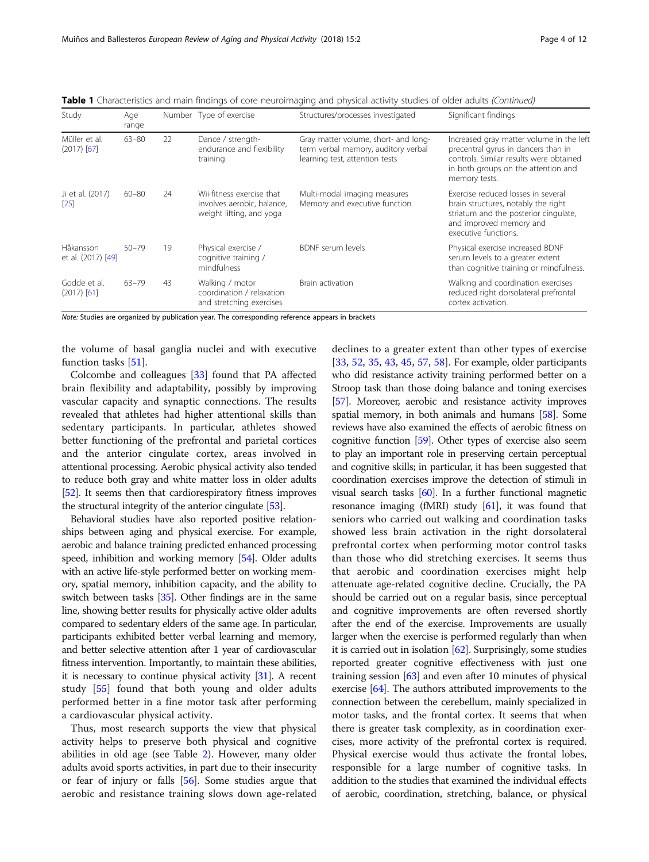| Study                           | Age<br>range |    | Number Type of exercise                                                             | Structures/processes investigated                                                                             | Significant findings                                                                                                                                                               |
|---------------------------------|--------------|----|-------------------------------------------------------------------------------------|---------------------------------------------------------------------------------------------------------------|------------------------------------------------------------------------------------------------------------------------------------------------------------------------------------|
| Müller et al.<br>$(2017)$ [67]  | $63 - 80$    | 22 | Dance / strength-<br>endurance and flexibility<br>training                          | Gray matter volume, short- and long-<br>term verbal memory, auditory verbal<br>learning test, attention tests | Increased gray matter volume in the left<br>precentral gyrus in dancers than in<br>controls. Similar results were obtained<br>in both groups on the attention and<br>memory tests. |
| Ji et al. (2017)<br>[25]        | 60-80        | 24 | Wii-fitness exercise that<br>involves aerobic, balance,<br>weight lifting, and yoga | Multi-modal imaging measures<br>Memory and executive function                                                 | Exercise reduced losses in several<br>brain structures, notably the right<br>striatum and the posterior cingulate,<br>and improved memory and<br>executive functions.              |
| Håkansson<br>et al. (2017) [49] | $50 - 79$    | 19 | Physical exercise /<br>cognitive training /<br>mindfulness                          | <b>BDNF</b> serum levels                                                                                      | Physical exercise increased BDNF<br>serum levels to a greater extent<br>than cognitive training or mindfulness.                                                                    |
| Godde et al.<br>$(2017)$ [61]   | $63 - 79$    | 43 | Walking / motor<br>coordination / relaxation<br>and stretching exercises            | Brain activation                                                                                              | Walking and coordination exercises<br>reduced right dorsolateral prefrontal<br>cortex activation.                                                                                  |

Table 1 Characteristics and main findings of core neuroimaging and physical activity studies of older adults (Continued)

Note: Studies are organized by publication year. The corresponding reference appears in brackets

the volume of basal ganglia nuclei and with executive function tasks [\[51](#page-10-0)].

Colcombe and colleagues [[33\]](#page-10-0) found that PA affected brain flexibility and adaptability, possibly by improving vascular capacity and synaptic connections. The results revealed that athletes had higher attentional skills than sedentary participants. In particular, athletes showed better functioning of the prefrontal and parietal cortices and the anterior cingulate cortex, areas involved in attentional processing. Aerobic physical activity also tended to reduce both gray and white matter loss in older adults [[52](#page-10-0)]. It seems then that cardiorespiratory fitness improves the structural integrity of the anterior cingulate [\[53\]](#page-10-0).

Behavioral studies have also reported positive relationships between aging and physical exercise. For example, aerobic and balance training predicted enhanced processing speed, inhibition and working memory [[54](#page-10-0)]. Older adults with an active life-style performed better on working memory, spatial memory, inhibition capacity, and the ability to switch between tasks [[35\]](#page-10-0). Other findings are in the same line, showing better results for physically active older adults compared to sedentary elders of the same age. In particular, participants exhibited better verbal learning and memory, and better selective attention after 1 year of cardiovascular fitness intervention. Importantly, to maintain these abilities, it is necessary to continue physical activity [\[31](#page-10-0)]. A recent study [\[55](#page-10-0)] found that both young and older adults performed better in a fine motor task after performing a cardiovascular physical activity.

Thus, most research supports the view that physical activity helps to preserve both physical and cognitive abilities in old age (see Table [2\)](#page-4-0). However, many older adults avoid sports activities, in part due to their insecurity or fear of injury or falls [\[56\]](#page-10-0). Some studies argue that aerobic and resistance training slows down age-related

declines to a greater extent than other types of exercise [[33,](#page-10-0) [52](#page-10-0), [35](#page-10-0), [43](#page-10-0), [45](#page-10-0), [57](#page-10-0), [58](#page-10-0)]. For example, older participants who did resistance activity training performed better on a Stroop task than those doing balance and toning exercises [[57](#page-10-0)]. Moreover, aerobic and resistance activity improves spatial memory, in both animals and humans [\[58](#page-10-0)]. Some reviews have also examined the effects of aerobic fitness on cognitive function [\[59\]](#page-10-0). Other types of exercise also seem to play an important role in preserving certain perceptual and cognitive skills; in particular, it has been suggested that coordination exercises improve the detection of stimuli in visual search tasks [\[60\]](#page-10-0). In a further functional magnetic resonance imaging (fMRI) study [[61](#page-10-0)], it was found that seniors who carried out walking and coordination tasks showed less brain activation in the right dorsolateral prefrontal cortex when performing motor control tasks than those who did stretching exercises. It seems thus that aerobic and coordination exercises might help attenuate age-related cognitive decline. Crucially, the PA should be carried out on a regular basis, since perceptual and cognitive improvements are often reversed shortly after the end of the exercise. Improvements are usually larger when the exercise is performed regularly than when it is carried out in isolation [\[62](#page-10-0)]. Surprisingly, some studies reported greater cognitive effectiveness with just one training session [\[63\]](#page-10-0) and even after 10 minutes of physical exercise [\[64](#page-10-0)]. The authors attributed improvements to the connection between the cerebellum, mainly specialized in motor tasks, and the frontal cortex. It seems that when there is greater task complexity, as in coordination exercises, more activity of the prefrontal cortex is required. Physical exercise would thus activate the frontal lobes, responsible for a large number of cognitive tasks. In addition to the studies that examined the individual effects of aerobic, coordination, stretching, balance, or physical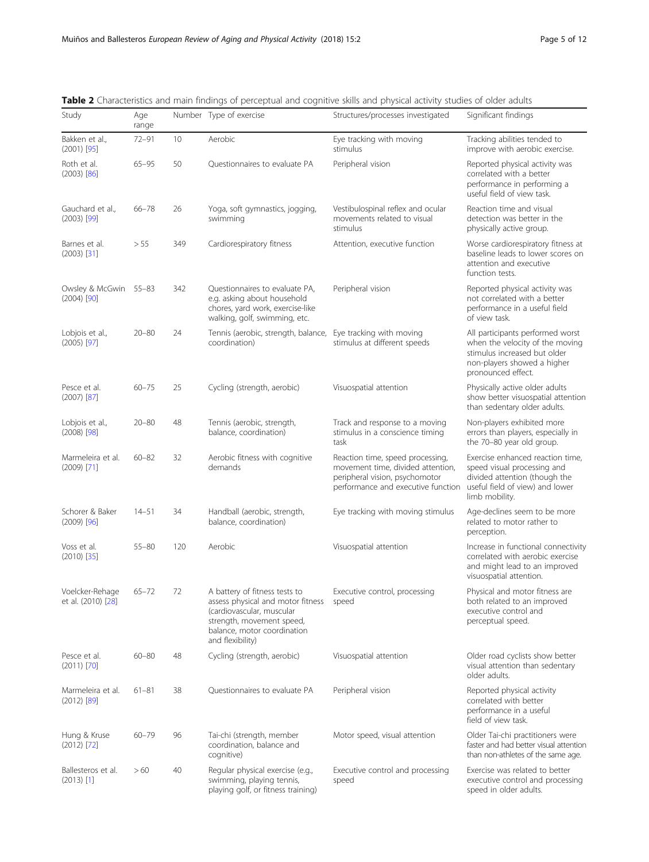| Study                                  | Age<br>range |     | Number Type of exercise                                                                                                                                                         | Structures/processes investigated                                                                                                             | Significant findings                                                                                                                                     |
|----------------------------------------|--------------|-----|---------------------------------------------------------------------------------------------------------------------------------------------------------------------------------|-----------------------------------------------------------------------------------------------------------------------------------------------|----------------------------------------------------------------------------------------------------------------------------------------------------------|
| Bakken et al.,<br>$(2001)$ [95]        | $72 - 91$    | 10  | Aerobic                                                                                                                                                                         | Eye tracking with moving<br>stimulus                                                                                                          | Tracking abilities tended to<br>improve with aerobic exercise.                                                                                           |
| Roth et al.<br>$(2003)$ $[86]$         | $65 - 95$    | 50  | Questionnaires to evaluate PA                                                                                                                                                   | Peripheral vision                                                                                                                             | Reported physical activity was<br>correlated with a better<br>performance in performing a<br>useful field of view task.                                  |
| Gauchard et al.,<br>$(2003)$ [99]      | $66 - 78$    | 26  | Yoga, soft gymnastics, jogging,<br>swimming                                                                                                                                     | Vestibulospinal reflex and ocular<br>movements related to visual<br>stimulus                                                                  | Reaction time and visual<br>detection was better in the<br>physically active group.                                                                      |
| Barnes et al.<br>$(2003)$ [31]         | > 55         | 349 | Cardiorespiratory fitness                                                                                                                                                       | Attention, executive function                                                                                                                 | Worse cardiorespiratory fitness at<br>baseline leads to lower scores on<br>attention and executive<br>function tests.                                    |
| Owsley & McGwin 55-83<br>$(2004)$ [90] |              | 342 | Questionnaires to evaluate PA,<br>e.g. asking about household<br>chores, yard work, exercise-like<br>walking, golf, swimming, etc.                                              | Peripheral vision                                                                                                                             | Reported physical activity was<br>not correlated with a better<br>performance in a useful field<br>of view task.                                         |
| Lobjois et al.,<br>$(2005)$ [97]       | $20 - 80$    | 24  | Tennis (aerobic, strength, balance,<br>coordination)                                                                                                                            | Eye tracking with moving<br>stimulus at different speeds                                                                                      | All participants performed worst<br>when the velocity of the moving<br>stimulus increased but older<br>non-players showed a higher<br>pronounced effect. |
| Pesce et al.<br>$(2007)$ [87]          | $60 - 75$    | 25  | Cycling (strength, aerobic)                                                                                                                                                     | Visuospatial attention                                                                                                                        | Physically active older adults<br>show better visuospatial attention<br>than sedentary older adults.                                                     |
| Lobjois et al.,<br>$(2008)$ [98]       | $20 - 80$    | 48  | Tennis (aerobic, strength,<br>balance, coordination)                                                                                                                            | Track and response to a moving<br>stimulus in a conscience timing<br>task                                                                     | Non-players exhibited more<br>errors than players, especially in<br>the 70-80 year old group.                                                            |
| Marmeleira et al.<br>$(2009)$ [71]     | $60 - 82$    | 32  | Aerobic fitness with cognitive<br>demands                                                                                                                                       | Reaction time, speed processing,<br>movement time, divided attention,<br>peripheral vision, psychomotor<br>performance and executive function | Exercise enhanced reaction time,<br>speed visual processing and<br>divided attention (though the<br>useful field of view) and lower<br>limb mobility.    |
| Schorer & Baker<br>$(2009)$ [96]       | $14 - 51$    | 34  | Handball (aerobic, strength,<br>balance, coordination)                                                                                                                          | Eye tracking with moving stimulus                                                                                                             | Age-declines seem to be more<br>related to motor rather to<br>perception.                                                                                |
| Voss et al.<br>$(2010)$ [35]           | $55 - 80$    | 120 | Aerobic                                                                                                                                                                         | Visuospatial attention                                                                                                                        | Increase in functional connectivity<br>correlated with aerobic exercise<br>and might lead to an improved<br>visuospatial attention.                      |
| Voelcker-Rehage<br>et al. (2010) [28]  | $65 - 72$    | 72  | A battery of fitness tests to<br>assess physical and motor fitness<br>(cardiovascular, muscular<br>strength, movement speed,<br>balance, motor coordination<br>and flexibility) | Executive control, processing<br>speed                                                                                                        | Physical and motor fitness are<br>both related to an improved<br>executive control and<br>perceptual speed.                                              |
| Pesce et al.<br>$(2011)$ [70]          | $60 - 80$    | 48  | Cycling (strength, aerobic)                                                                                                                                                     | Visuospatial attention                                                                                                                        | Older road cyclists show better<br>visual attention than sedentary<br>older adults.                                                                      |
| Marmeleira et al.<br>$(2012)$ [89]     | $61 - 81$    | 38  | Questionnaires to evaluate PA                                                                                                                                                   | Peripheral vision                                                                                                                             | Reported physical activity<br>correlated with better<br>performance in a useful<br>field of view task.                                                   |
| Hung & Kruse<br>$(2012)$ [72]          | $60 - 79$    | 96  | Tai-chi (strength, member<br>coordination, balance and<br>cognitive)                                                                                                            | Motor speed, visual attention                                                                                                                 | Older Tai-chi practitioners were<br>faster and had better visual attention<br>than non-athletes of the same age.                                         |
| Ballesteros et al.<br>$(2013)$ [1]     | >60          | 40  | Regular physical exercise (e.g.,<br>swimming, playing tennis,<br>playing golf, or fitness training)                                                                             | Executive control and processing<br>speed                                                                                                     | Exercise was related to better<br>executive control and processing<br>speed in older adults.                                                             |

<span id="page-4-0"></span>Table 2 Characteristics and main findings of perceptual and cognitive skills and physical activity studies of older adults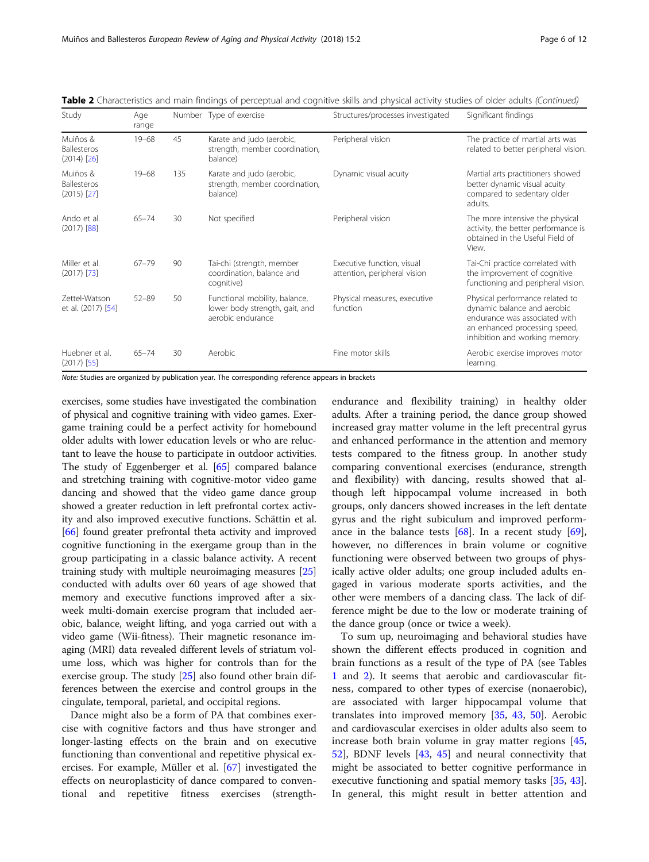| Study                                           | Age<br>range |     | Number Type of exercise                                                              | Structures/processes investigated                          | Significant findings                                                                                                                                               |
|-------------------------------------------------|--------------|-----|--------------------------------------------------------------------------------------|------------------------------------------------------------|--------------------------------------------------------------------------------------------------------------------------------------------------------------------|
| Muiños &<br><b>Ballesteros</b><br>$(2014)$ [26] | $19 - 68$    | 45  | Karate and judo (aerobic,<br>strength, member coordination,<br>balance)              | Peripheral vision                                          | The practice of martial arts was<br>related to better peripheral vision.                                                                                           |
| Muiños &<br>Ballesteros<br>$(2015)$ [27]        | $19 - 68$    | 135 | Karate and judo (aerobic,<br>strength, member coordination,<br>balance)              | Dynamic visual acuity                                      | Martial arts practitioners showed<br>better dynamic visual acuity<br>compared to sedentary older<br>adults.                                                        |
| Ando et al.<br>$(2017)$ [88]                    | $65 - 74$    | 30  | Not specified                                                                        | Peripheral vision                                          | The more intensive the physical<br>activity, the better performance is<br>obtained in the Useful Field of<br>View.                                                 |
| Miller et al.<br>$(2017)$ [73]                  | $67 - 79$    | 90  | Tai-chi (strength, member<br>coordination, balance and<br>cognitive)                 | Executive function, visual<br>attention, peripheral vision | Tai-Chi practice correlated with<br>the improvement of cognitive<br>functioning and peripheral vision.                                                             |
| Zettel-Watson<br>et al. (2017) [54]             | $52 - 89$    | 50  | Functional mobility, balance,<br>lower body strength, gait, and<br>aerobic endurance | Physical measures, executive<br>function                   | Physical performance related to<br>dynamic balance and aerobic<br>endurance was associated with<br>an enhanced processing speed,<br>inhibition and working memory. |
| Huebner et al.<br>$(2017)$ [55]                 | $65 - 74$    | 30  | Aerobic                                                                              | Fine motor skills                                          | Aerobic exercise improves motor<br>learning.                                                                                                                       |

Table 2 Characteristics and main findings of perceptual and cognitive skills and physical activity studies of older adults (Continued)

Note: Studies are organized by publication year. The corresponding reference appears in brackets

exercises, some studies have investigated the combination of physical and cognitive training with video games. Exergame training could be a perfect activity for homebound older adults with lower education levels or who are reluctant to leave the house to participate in outdoor activities. The study of Eggenberger et al. [[65](#page-10-0)] compared balance and stretching training with cognitive-motor video game dancing and showed that the video game dance group showed a greater reduction in left prefrontal cortex activity and also improved executive functions. Schättin et al. [[66](#page-10-0)] found greater prefrontal theta activity and improved cognitive functioning in the exergame group than in the group participating in a classic balance activity. A recent training study with multiple neuroimaging measures [[25](#page-9-0)] conducted with adults over 60 years of age showed that memory and executive functions improved after a sixweek multi-domain exercise program that included aerobic, balance, weight lifting, and yoga carried out with a video game (Wii-fitness). Their magnetic resonance imaging (MRI) data revealed different levels of striatum volume loss, which was higher for controls than for the exercise group. The study [\[25\]](#page-9-0) also found other brain differences between the exercise and control groups in the cingulate, temporal, parietal, and occipital regions.

Dance might also be a form of PA that combines exercise with cognitive factors and thus have stronger and longer-lasting effects on the brain and on executive functioning than conventional and repetitive physical exercises. For example, Müller et al. [\[67\]](#page-11-0) investigated the effects on neuroplasticity of dance compared to conventional and repetitive fitness exercises (strength-

endurance and flexibility training) in healthy older adults. After a training period, the dance group showed increased gray matter volume in the left precentral gyrus and enhanced performance in the attention and memory tests compared to the fitness group. In another study comparing conventional exercises (endurance, strength and flexibility) with dancing, results showed that although left hippocampal volume increased in both groups, only dancers showed increases in the left dentate gyrus and the right subiculum and improved performance in the balance tests  $[68]$  $[68]$ . In a recent study  $[69]$  $[69]$ , however, no differences in brain volume or cognitive functioning were observed between two groups of physically active older adults; one group included adults engaged in various moderate sports activities, and the other were members of a dancing class. The lack of difference might be due to the low or moderate training of the dance group (once or twice a week).

To sum up, neuroimaging and behavioral studies have shown the different effects produced in cognition and brain functions as a result of the type of PA (see Tables [1](#page-2-0) and [2\)](#page-4-0). It seems that aerobic and cardiovascular fitness, compared to other types of exercise (nonaerobic), are associated with larger hippocampal volume that translates into improved memory [[35,](#page-10-0) [43](#page-10-0), [50\]](#page-10-0). Aerobic and cardiovascular exercises in older adults also seem to increase both brain volume in gray matter regions [[45](#page-10-0), [52\]](#page-10-0), BDNF levels [\[43](#page-10-0), [45\]](#page-10-0) and neural connectivity that might be associated to better cognitive performance in executive functioning and spatial memory tasks [\[35,](#page-10-0) [43](#page-10-0)]. In general, this might result in better attention and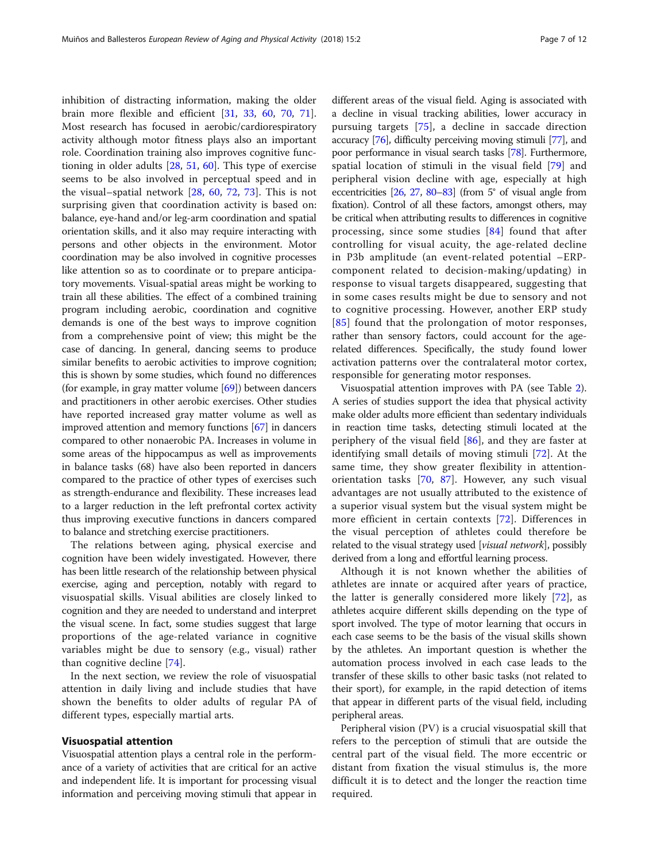inhibition of distracting information, making the older brain more flexible and efficient [\[31,](#page-10-0) [33](#page-10-0), [60,](#page-10-0) [70,](#page-11-0) [71](#page-11-0)]. Most research has focused in aerobic/cardiorespiratory activity although motor fitness plays also an important role. Coordination training also improves cognitive functioning in older adults [[28](#page-10-0), [51,](#page-10-0) [60](#page-10-0)]. This type of exercise seems to be also involved in perceptual speed and in the visual–spatial network [[28,](#page-10-0) [60,](#page-10-0) [72](#page-11-0), [73](#page-11-0)]. This is not surprising given that coordination activity is based on: balance, eye-hand and/or leg-arm coordination and spatial orientation skills, and it also may require interacting with persons and other objects in the environment. Motor coordination may be also involved in cognitive processes like attention so as to coordinate or to prepare anticipatory movements. Visual-spatial areas might be working to train all these abilities. The effect of a combined training program including aerobic, coordination and cognitive demands is one of the best ways to improve cognition from a comprehensive point of view; this might be the case of dancing. In general, dancing seems to produce similar benefits to aerobic activities to improve cognition; this is shown by some studies, which found no differences (for example, in gray matter volume [[69](#page-11-0)]) between dancers and practitioners in other aerobic exercises. Other studies have reported increased gray matter volume as well as improved attention and memory functions [[67](#page-11-0)] in dancers compared to other nonaerobic PA. Increases in volume in some areas of the hippocampus as well as improvements in balance tasks (68) have also been reported in dancers compared to the practice of other types of exercises such as strength-endurance and flexibility. These increases lead to a larger reduction in the left prefrontal cortex activity thus improving executive functions in dancers compared to balance and stretching exercise practitioners.

The relations between aging, physical exercise and cognition have been widely investigated. However, there has been little research of the relationship between physical exercise, aging and perception, notably with regard to visuospatial skills. Visual abilities are closely linked to cognition and they are needed to understand and interpret the visual scene. In fact, some studies suggest that large proportions of the age-related variance in cognitive variables might be due to sensory (e.g., visual) rather than cognitive decline [[74\]](#page-11-0).

In the next section, we review the role of visuospatial attention in daily living and include studies that have shown the benefits to older adults of regular PA of different types, especially martial arts.

## Visuospatial attention

Visuospatial attention plays a central role in the performance of a variety of activities that are critical for an active and independent life. It is important for processing visual information and perceiving moving stimuli that appear in

different areas of the visual field. Aging is associated with a decline in visual tracking abilities, lower accuracy in pursuing targets [[75\]](#page-11-0), a decline in saccade direction accuracy [\[76\]](#page-11-0), difficulty perceiving moving stimuli [[77](#page-11-0)], and poor performance in visual search tasks [\[78](#page-11-0)]. Furthermore, spatial location of stimuli in the visual field [\[79](#page-11-0)] and peripheral vision decline with age, especially at high eccentricities [\[26,](#page-9-0) [27,](#page-10-0) [80](#page-11-0)–[83\]](#page-11-0) (from 5° of visual angle from fixation). Control of all these factors, amongst others, may be critical when attributing results to differences in cognitive processing, since some studies [[84](#page-11-0)] found that after controlling for visual acuity, the age-related decline in P3b amplitude (an event-related potential –ERPcomponent related to decision-making/updating) in response to visual targets disappeared, suggesting that in some cases results might be due to sensory and not to cognitive processing. However, another ERP study [[85](#page-11-0)] found that the prolongation of motor responses, rather than sensory factors, could account for the agerelated differences. Specifically, the study found lower activation patterns over the contralateral motor cortex, responsible for generating motor responses.

Visuospatial attention improves with PA (see Table [2](#page-4-0)). A series of studies support the idea that physical activity make older adults more efficient than sedentary individuals in reaction time tasks, detecting stimuli located at the periphery of the visual field [[86\]](#page-11-0), and they are faster at identifying small details of moving stimuli [[72\]](#page-11-0). At the same time, they show greater flexibility in attentionorientation tasks [\[70](#page-11-0), [87](#page-11-0)]. However, any such visual advantages are not usually attributed to the existence of a superior visual system but the visual system might be more efficient in certain contexts [[72\]](#page-11-0). Differences in the visual perception of athletes could therefore be related to the visual strategy used [visual network], possibly derived from a long and effortful learning process.

Although it is not known whether the abilities of athletes are innate or acquired after years of practice, the latter is generally considered more likely [[72\]](#page-11-0), as athletes acquire different skills depending on the type of sport involved. The type of motor learning that occurs in each case seems to be the basis of the visual skills shown by the athletes. An important question is whether the automation process involved in each case leads to the transfer of these skills to other basic tasks (not related to their sport), for example, in the rapid detection of items that appear in different parts of the visual field, including peripheral areas.

Peripheral vision (PV) is a crucial visuospatial skill that refers to the perception of stimuli that are outside the central part of the visual field. The more eccentric or distant from fixation the visual stimulus is, the more difficult it is to detect and the longer the reaction time required.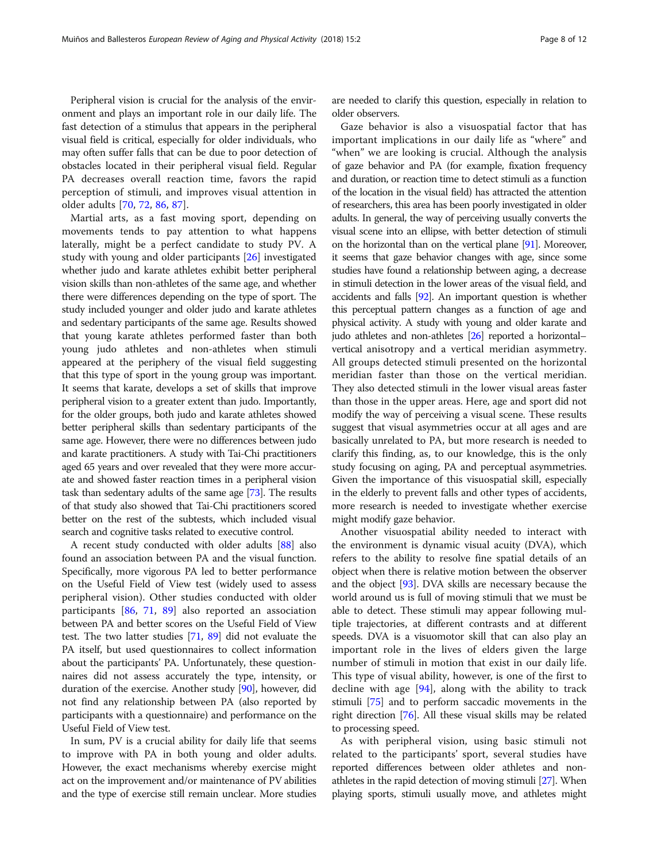Peripheral vision is crucial for the analysis of the environment and plays an important role in our daily life. The fast detection of a stimulus that appears in the peripheral visual field is critical, especially for older individuals, who may often suffer falls that can be due to poor detection of obstacles located in their peripheral visual field. Regular PA decreases overall reaction time, favors the rapid perception of stimuli, and improves visual attention in older adults [\[70](#page-11-0), [72](#page-11-0), [86,](#page-11-0) [87\]](#page-11-0).

Martial arts, as a fast moving sport, depending on movements tends to pay attention to what happens laterally, might be a perfect candidate to study PV. A study with young and older participants [\[26](#page-9-0)] investigated whether judo and karate athletes exhibit better peripheral vision skills than non-athletes of the same age, and whether there were differences depending on the type of sport. The study included younger and older judo and karate athletes and sedentary participants of the same age. Results showed that young karate athletes performed faster than both young judo athletes and non-athletes when stimuli appeared at the periphery of the visual field suggesting that this type of sport in the young group was important. It seems that karate, develops a set of skills that improve peripheral vision to a greater extent than judo. Importantly, for the older groups, both judo and karate athletes showed better peripheral skills than sedentary participants of the same age. However, there were no differences between judo and karate practitioners. A study with Tai-Chi practitioners aged 65 years and over revealed that they were more accurate and showed faster reaction times in a peripheral vision task than sedentary adults of the same age [\[73\]](#page-11-0). The results of that study also showed that Tai-Chi practitioners scored better on the rest of the subtests, which included visual search and cognitive tasks related to executive control.

A recent study conducted with older adults [[88](#page-11-0)] also found an association between PA and the visual function. Specifically, more vigorous PA led to better performance on the Useful Field of View test (widely used to assess peripheral vision). Other studies conducted with older participants [\[86](#page-11-0), [71,](#page-11-0) [89](#page-11-0)] also reported an association between PA and better scores on the Useful Field of View test. The two latter studies [\[71,](#page-11-0) [89](#page-11-0)] did not evaluate the PA itself, but used questionnaires to collect information about the participants' PA. Unfortunately, these questionnaires did not assess accurately the type, intensity, or duration of the exercise. Another study [[90](#page-11-0)], however, did not find any relationship between PA (also reported by participants with a questionnaire) and performance on the Useful Field of View test.

In sum, PV is a crucial ability for daily life that seems to improve with PA in both young and older adults. However, the exact mechanisms whereby exercise might act on the improvement and/or maintenance of PV abilities and the type of exercise still remain unclear. More studies

are needed to clarify this question, especially in relation to older observers.

Gaze behavior is also a visuospatial factor that has important implications in our daily life as "where" and "when" we are looking is crucial. Although the analysis of gaze behavior and PA (for example, fixation frequency and duration, or reaction time to detect stimuli as a function of the location in the visual field) has attracted the attention of researchers, this area has been poorly investigated in older adults. In general, the way of perceiving usually converts the visual scene into an ellipse, with better detection of stimuli on the horizontal than on the vertical plane [\[91](#page-11-0)]. Moreover, it seems that gaze behavior changes with age, since some studies have found a relationship between aging, a decrease in stimuli detection in the lower areas of the visual field, and accidents and falls [\[92](#page-11-0)]. An important question is whether this perceptual pattern changes as a function of age and physical activity. A study with young and older karate and judo athletes and non-athletes [\[26](#page-9-0)] reported a horizontal– vertical anisotropy and a vertical meridian asymmetry. All groups detected stimuli presented on the horizontal meridian faster than those on the vertical meridian. They also detected stimuli in the lower visual areas faster than those in the upper areas. Here, age and sport did not modify the way of perceiving a visual scene. These results suggest that visual asymmetries occur at all ages and are basically unrelated to PA, but more research is needed to clarify this finding, as, to our knowledge, this is the only study focusing on aging, PA and perceptual asymmetries. Given the importance of this visuospatial skill, especially in the elderly to prevent falls and other types of accidents, more research is needed to investigate whether exercise might modify gaze behavior.

Another visuospatial ability needed to interact with the environment is dynamic visual acuity (DVA), which refers to the ability to resolve fine spatial details of an object when there is relative motion between the observer and the object [[93](#page-11-0)]. DVA skills are necessary because the world around us is full of moving stimuli that we must be able to detect. These stimuli may appear following multiple trajectories, at different contrasts and at different speeds. DVA is a visuomotor skill that can also play an important role in the lives of elders given the large number of stimuli in motion that exist in our daily life. This type of visual ability, however, is one of the first to decline with age [[94\]](#page-11-0), along with the ability to track stimuli [[75](#page-11-0)] and to perform saccadic movements in the right direction [\[76\]](#page-11-0). All these visual skills may be related to processing speed.

As with peripheral vision, using basic stimuli not related to the participants' sport, several studies have reported differences between older athletes and nonathletes in the rapid detection of moving stimuli [\[27\]](#page-10-0). When playing sports, stimuli usually move, and athletes might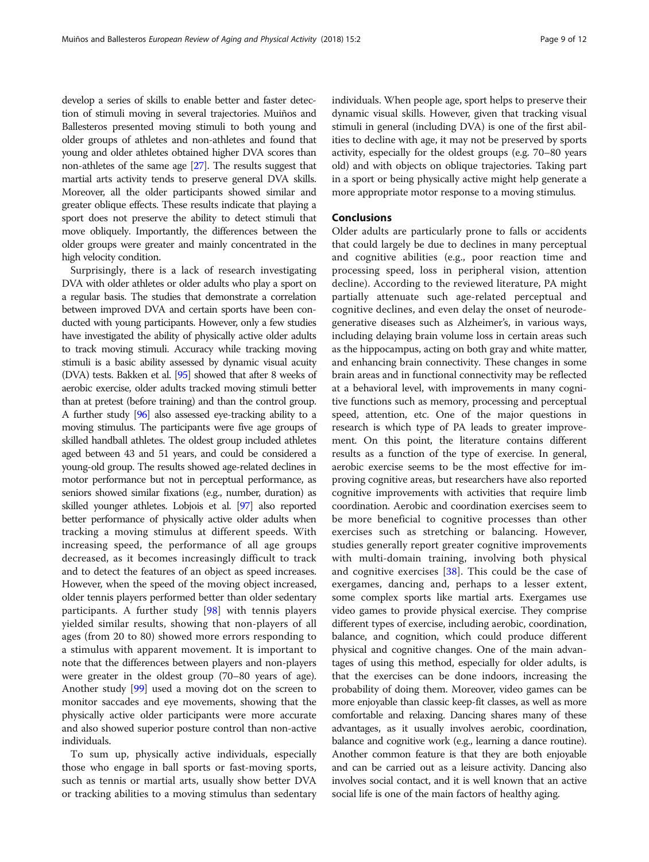develop a series of skills to enable better and faster detection of stimuli moving in several trajectories. Muiños and Ballesteros presented moving stimuli to both young and older groups of athletes and non-athletes and found that young and older athletes obtained higher DVA scores than non-athletes of the same age [[27](#page-10-0)]. The results suggest that martial arts activity tends to preserve general DVA skills. Moreover, all the older participants showed similar and greater oblique effects. These results indicate that playing a sport does not preserve the ability to detect stimuli that move obliquely. Importantly, the differences between the older groups were greater and mainly concentrated in the high velocity condition.

Surprisingly, there is a lack of research investigating DVA with older athletes or older adults who play a sport on a regular basis. The studies that demonstrate a correlation between improved DVA and certain sports have been conducted with young participants. However, only a few studies have investigated the ability of physically active older adults to track moving stimuli. Accuracy while tracking moving stimuli is a basic ability assessed by dynamic visual acuity (DVA) tests. Bakken et al. [\[95](#page-11-0)] showed that after 8 weeks of aerobic exercise, older adults tracked moving stimuli better than at pretest (before training) and than the control group. A further study [[96\]](#page-11-0) also assessed eye-tracking ability to a moving stimulus. The participants were five age groups of skilled handball athletes. The oldest group included athletes aged between 43 and 51 years, and could be considered a young-old group. The results showed age-related declines in motor performance but not in perceptual performance, as seniors showed similar fixations (e.g., number, duration) as skilled younger athletes. Lobjois et al. [\[97](#page-11-0)] also reported better performance of physically active older adults when tracking a moving stimulus at different speeds. With increasing speed, the performance of all age groups decreased, as it becomes increasingly difficult to track and to detect the features of an object as speed increases. However, when the speed of the moving object increased, older tennis players performed better than older sedentary participants. A further study [[98\]](#page-11-0) with tennis players yielded similar results, showing that non-players of all ages (from 20 to 80) showed more errors responding to a stimulus with apparent movement. It is important to note that the differences between players and non-players were greater in the oldest group (70–80 years of age). Another study [[99](#page-11-0)] used a moving dot on the screen to monitor saccades and eye movements, showing that the physically active older participants were more accurate and also showed superior posture control than non-active individuals.

To sum up, physically active individuals, especially those who engage in ball sports or fast-moving sports, such as tennis or martial arts, usually show better DVA or tracking abilities to a moving stimulus than sedentary individuals. When people age, sport helps to preserve their dynamic visual skills. However, given that tracking visual stimuli in general (including DVA) is one of the first abilities to decline with age, it may not be preserved by sports activity, especially for the oldest groups (e.g. 70–80 years old) and with objects on oblique trajectories. Taking part in a sport or being physically active might help generate a more appropriate motor response to a moving stimulus.

# Conclusions

Older adults are particularly prone to falls or accidents that could largely be due to declines in many perceptual and cognitive abilities (e.g., poor reaction time and processing speed, loss in peripheral vision, attention decline). According to the reviewed literature, PA might partially attenuate such age-related perceptual and cognitive declines, and even delay the onset of neurodegenerative diseases such as Alzheimer's, in various ways, including delaying brain volume loss in certain areas such as the hippocampus, acting on both gray and white matter, and enhancing brain connectivity. These changes in some brain areas and in functional connectivity may be reflected at a behavioral level, with improvements in many cognitive functions such as memory, processing and perceptual speed, attention, etc. One of the major questions in research is which type of PA leads to greater improvement. On this point, the literature contains different results as a function of the type of exercise. In general, aerobic exercise seems to be the most effective for improving cognitive areas, but researchers have also reported cognitive improvements with activities that require limb coordination. Aerobic and coordination exercises seem to be more beneficial to cognitive processes than other exercises such as stretching or balancing. However, studies generally report greater cognitive improvements with multi-domain training, involving both physical and cognitive exercises [[38\]](#page-10-0). This could be the case of exergames, dancing and, perhaps to a lesser extent, some complex sports like martial arts. Exergames use video games to provide physical exercise. They comprise different types of exercise, including aerobic, coordination, balance, and cognition, which could produce different physical and cognitive changes. One of the main advantages of using this method, especially for older adults, is that the exercises can be done indoors, increasing the probability of doing them. Moreover, video games can be more enjoyable than classic keep-fit classes, as well as more comfortable and relaxing. Dancing shares many of these advantages, as it usually involves aerobic, coordination, balance and cognitive work (e.g., learning a dance routine). Another common feature is that they are both enjoyable and can be carried out as a leisure activity. Dancing also involves social contact, and it is well known that an active social life is one of the main factors of healthy aging.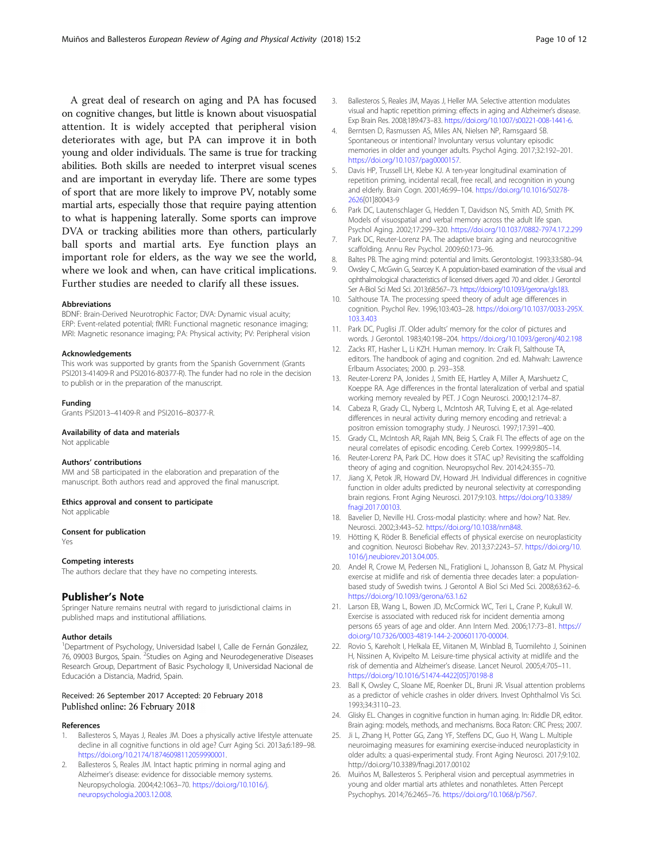<span id="page-9-0"></span>A great deal of research on aging and PA has focused on cognitive changes, but little is known about visuospatial attention. It is widely accepted that peripheral vision deteriorates with age, but PA can improve it in both young and older individuals. The same is true for tracking abilities. Both skills are needed to interpret visual scenes and are important in everyday life. There are some types of sport that are more likely to improve PV, notably some martial arts, especially those that require paying attention to what is happening laterally. Some sports can improve DVA or tracking abilities more than others, particularly ball sports and martial arts. Eye function plays an important role for elders, as the way we see the world, where we look and when, can have critical implications. Further studies are needed to clarify all these issues.

#### Abbreviations

BDNF: Brain-Derived Neurotrophic Factor; DVA: Dynamic visual acuity; ERP: Event-related potential; fMRI: Functional magnetic resonance imaging; MRI: Magnetic resonance imaging; PA: Physical activity; PV: Peripheral vision

#### Acknowledgements

This work was supported by grants from the Spanish Government (Grants PSI2013-41409-R and PSI2016-80377-R). The funder had no role in the decision to publish or in the preparation of the manuscript.

## Funding

Grants PSI2013–41409-R and PSI2016–80377-R.

#### Availability of data and materials

Not applicable

# Authors' contributions

MM and SB participated in the elaboration and preparation of the manuscript. Both authors read and approved the final manuscript.

#### Ethics approval and consent to participate

Not applicable

#### Consent for publication

Yes

#### Competing interests

The authors declare that they have no competing interests.

### Publisher's Note

Springer Nature remains neutral with regard to jurisdictional claims in published maps and institutional affiliations.

#### Author details

<sup>1</sup>Department of Psychology, Universidad Isabel I, Calle de Fernán González, 76, 09003 Burgos, Spain. <sup>2</sup>Studies on Aging and Neurodegenerative Diseases Research Group, Department of Basic Psychology II, Universidad Nacional de Educación a Distancia, Madrid, Spain.

## Received: 26 September 2017 Accepted: 20 February 2018 Published online: 26 February 2018

#### References

- 1. Ballesteros S, Mayas J, Reales JM. Does a physically active lifestyle attenuate decline in all cognitive functions in old age? Curr Aging Sci. 2013a;6:189–98. <https://doi.org/10.2174/18746098112059990001>.
- 2. Ballesteros S, Reales JM. Intact haptic priming in normal aging and Alzheimer's disease: evidence for dissociable memory systems. Neuropsychologia. 2004;42:1063–70. [https://doi.org/10.1016/j.](https://doi.org/10.1016/j.neuropsychologia.2003.12.008) [neuropsychologia.2003.12.008.](https://doi.org/10.1016/j.neuropsychologia.2003.12.008)
- 3. Ballesteros S, Reales JM, Mayas J, Heller MA. Selective attention modulates visual and haptic repetition priming: effects in aging and Alzheimer's disease. Exp Brain Res. 2008;189:473–83. [https://doi.org/10.1007/s00221-008-1441-6.](https://doi.org/10.1007/s00221-008-1441-6)
- 4. Berntsen D, Rasmussen AS, Miles AN, Nielsen NP, Ramsgaard SB. Spontaneous or intentional? Involuntary versus voluntary episodic memories in older and younger adults. Psychol Aging. 2017;32:192–201. [https://doi.org/10.1037/pag0000157.](https://doi.org/10.1037/pag0000157)
- 5. Davis HP, Trussell LH, Klebe KJ. A ten-year longitudinal examination of repetition priming, incidental recall, free recall, and recognition in young and elderly. Brain Cogn. 2001;46:99–104. [https://doi.org/10.1016/S0278-](https://doi.org/10.1016/S0278-2626) [2626](https://doi.org/10.1016/S0278-2626)[01]80043-9
- 6. Park DC, Lautenschlager G, Hedden T, Davidson NS, Smith AD, Smith PK. Models of visuospatial and verbal memory across the adult life span. Psychol Aging. 2002;17:299–320. <https://doi.org/10.1037/0882-7974.17.2.299>
- 7. Park DC, Reuter-Lorenz PA. The adaptive brain: aging and neurocognitive scaffolding. Annu Rev Psychol. 2009;60:173–96.
- 8. Baltes PB. The aging mind: potential and limits. Gerontologist. 1993;33:580–94.
- 9. Owsley C, McGwin G, Searcey K. A population-based examination of the visual and ophthalmological characteristics of licensed drivers aged 70 and older. J Gerontol Ser A-Biol Sci Med Sci. 2013;68:567–73. <https://doi.org/10.1093/gerona/gls183>.
- 10. Salthouse TA. The processing speed theory of adult age differences in cognition. Psychol Rev. 1996;103:403–28. [https://doi.org/10.1037/0033-295X.](https://doi.org/10.1037/0033-295X.103.3.403) [103.3.403](https://doi.org/10.1037/0033-295X.103.3.403)
- 11. Park DC, Puglisi JT. Older adults' memory for the color of pictures and words. J Gerontol. 1983;40:198–204. <https://doi.org/10.1093/geronj/40.2.198>
- 12. Zacks RT, Hasher L, Li KZH, Human memory. In: Craik FL Salthouse TA, editors. The handbook of aging and cognition. 2nd ed. Mahwah: Lawrence Erlbaum Associates; 2000. p. 293–358.
- 13. Reuter-Lorenz PA, Jonides J, Smith EE, Hartley A, Miller A, Marshuetz C, Koeppe RA. Age differences in the frontal lateralization of verbal and spatial working memory revealed by PET. J Cogn Neurosci. 2000;12:174–87.
- 14. Cabeza R, Grady CL, Nyberg L, McIntosh AR, Tulving E, et al. Age-related differences in neural activity during memory encoding and retrieval: a positron emission tomography study. J Neurosci. 1997;17:391–400.
- 15. Grady CL, McIntosh AR, Rajah MN, Beig S, Craik FI. The effects of age on the neural correlates of episodic encoding. Cereb Cortex. 1999;9:805–14.
- 16. Reuter-Lorenz PA, Park DC. How does it STAC up? Revisiting the scaffolding theory of aging and cognition. Neuropsychol Rev. 2014;24:355–70.
- 17. Jiang X, Petok JR, Howard DV, Howard JH. Individual differences in coanitive function in older adults predicted by neuronal selectivity at corresponding brain regions. Front Aging Neurosci. 2017;9:103. [https://doi.org/10.3389/](https://doi.org/10.3389/fnagi.2017.00103) [fnagi.2017.00103.](https://doi.org/10.3389/fnagi.2017.00103)
- 18. Bavelier D, Neville HJ. Cross-modal plasticity: where and how? Nat. Rev. Neurosci. 2002;3:443–52. <https://doi.org/10.1038/nrn848>.
- 19. Hötting K, Röder B. Beneficial effects of physical exercise on neuroplasticity and cognition. Neurosci Biobehav Rev. 2013;37:2243–57. [https://doi.org/10.](https://doi.org/10.1016/j.neubiorev.2013.04.005) [1016/j.neubiorev.2013.04.005](https://doi.org/10.1016/j.neubiorev.2013.04.005).
- 20. Andel R, Crowe M, Pedersen NL, Fratiglioni L, Johansson B, Gatz M. Physical exercise at midlife and risk of dementia three decades later: a populationbased study of Swedish twins. J Gerontol A Biol Sci Med Sci. 2008;63:62–6. <https://doi.org/10.1093/gerona/63.1.62>
- 21. Larson EB, Wang L, Bowen JD, McCormick WC, Teri L, Crane P, Kukull W. Exercise is associated with reduced risk for incident dementia among persons 65 years of age and older. Ann Intern Med. 2006;17:73–81. [https://](https://doi.org/10.7326/0003-4819-144-2-200601170-00004) [doi.org/10.7326/0003-4819-144-2-200601170-00004](https://doi.org/10.7326/0003-4819-144-2-200601170-00004).
- 22. Rovio S, Kareholt I, Helkala EE, Viitanen M, Winblad B, Tuomilehto J, Soininen H, Nissinen A, Kivipelto M. Leisure-time physical activity at midlife and the risk of dementia and Alzheimer's disease. Lancet Neurol. 2005;4:705–11. [https://doi.org/10.1016/S1474-4422\[05\]70198-8](https://doi.org/10.1016/S1474-4422<05>70198-8)
- 23. Ball K, Owsley C, Sloane ME, Roenker DL, Bruni JR. Visual attention problems as a predictor of vehicle crashes in older drivers. Invest Ophthalmol Vis Sci. 1993;34:3110–23.
- 24. Glisky EL. Changes in cognitive function in human aging. In: Riddle DR, editor. Brain aging: models, methods, and mechanisms. Boca Raton: CRC Press; 2007.
- 25. Ji L, Zhang H, Potter GG, Zang YF, Steffens DC, Guo H, Wang L. Multiple neuroimaging measures for examining exercise-induced neuroplasticity in older adults: a quasi-experimental study. Front Aging Neurosci. 2017;9:102. http://doi.org/10.3389/fnagi.2017.00102
- 26. Muiños M, Ballesteros S. Peripheral vision and perceptual asymmetries in young and older martial arts athletes and nonathletes. Atten Percept Psychophys. 2014;76:2465–76. <https://doi.org/10.1068/p7567>.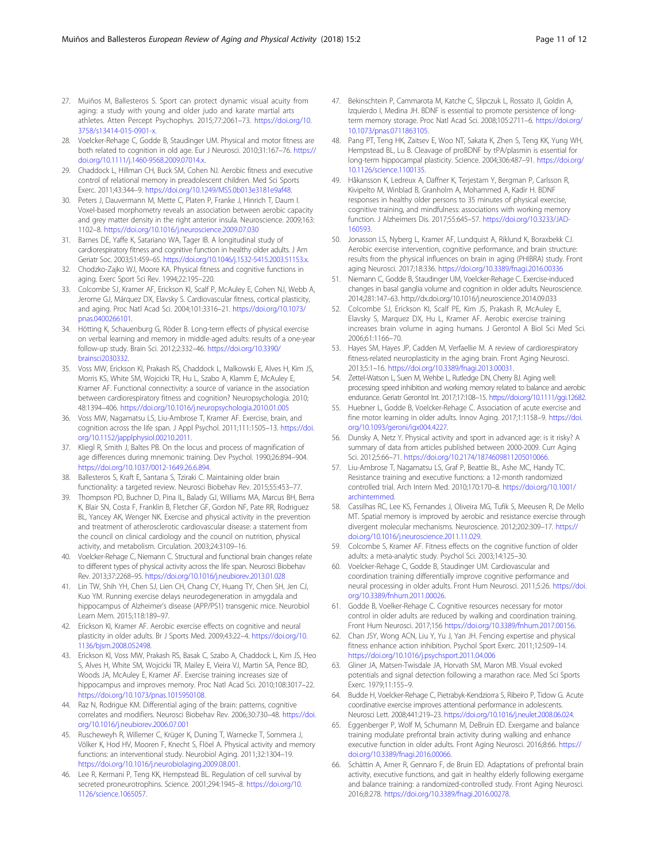- <span id="page-10-0"></span>27. Muiños M, Ballesteros S. Sport can protect dynamic visual acuity from aging: a study with young and older judo and karate martial arts athletes. Atten Percept Psychophys. 2015;77:2061–73. [https://doi.org/10.](https://doi.org/10.3758/s13414-015-0901-x) [3758/s13414-015-0901-x.](https://doi.org/10.3758/s13414-015-0901-x)
- 28. Voelcker-Rehage C, Godde B, Staudinger UM. Physical and motor fitness are both related to cognition in old age. Eur J Neurosci. 2010;31:167–76. [https://](https://doi.org/10.1111/j.1460-9568.2009.07014.x) [doi.org/10.1111/j.1460-9568.2009.07014.x.](https://doi.org/10.1111/j.1460-9568.2009.07014.x)
- 29. Chaddock L, Hillman CH, Buck SM, Cohen NJ. Aerobic fitness and executive control of relational memory in preadolescent children. Med Sci Sports Exerc. 2011;43:344–9. <https://doi.org/10.1249/MSS.0b013e3181e9af48>.
- 30. Peters J, Dauvermann M, Mette C, Platen P, Franke J, Hinrich T, Daum I. Voxel-based morphometry reveals an association between aerobic capacity and grey matter density in the right anterior insula. Neuroscience. 2009;163: 1102–8. <https://doi.org/10.1016/j.neuroscience.2009.07.030>
- 31. Barnes DE, Yaffe K, Satariano WA, Tager IB. A longitudinal study of cardiorespiratory fitness and cognitive function in healthy older adults. J Am Geriatr Soc. 2003;51:459–65. <https://doi.org/10.1046/j.1532-5415.2003.51153.x>.
- 32. Chodzko-Zajko WJ, Moore KA. Physical fitness and cognitive functions in aging. Exerc Sport Sci Rev. 1994;22:195–220.
- 33. Colcombe SJ, Kramer AF, Erickson KI, Scalf P, McAuley E, Cohen NJ, Webb A, Jerome GJ, Márquez DX, Elavsky S. Cardiovascular fitness, cortical plasticity, and aging. Proc Natl Acad Sci. 2004;101:3316–21. [https://doi.org/10.1073/](https://doi.org/10.1073/pnas.0400266101) [pnas.0400266101](https://doi.org/10.1073/pnas.0400266101).
- 34. Hötting K, Schauenburg G, Röder B. Long-term effects of physical exercise on verbal learning and memory in middle-aged adults: results of a one-year follow-up study. Brain Sci. 2012;2:332–46. [https://doi.org/10.3390/](https://doi.org/10.3390/brainsci2030332) [brainsci2030332](https://doi.org/10.3390/brainsci2030332).
- 35. Voss MW, Erickson KI, Prakash RS, Chaddock L, Malkowski E, Alves H, Kim JS, Morris KS, White SM, Wojcicki TR, Hu L, Szabo A, Klamm E, McAuley E, Kramer AF. Functional connectivity: a source of variance in the association between cardiorespiratory fitness and cognition? Neuropsychologia. 2010; 48:1394–406. <https://doi.org/10.1016/j.neuropsychologia.2010.01.005>
- 36. Voss MW, Nagamatsu LS, Liu-Ambrose T, Kramer AF. Exercise, brain, and cognition across the life span. J Appl Psychol. 2011;111:1505–13. [https://doi.](https://doi.org/10.1152/japplphysiol.00210.2011) [org/10.1152/japplphysiol.00210.2011](https://doi.org/10.1152/japplphysiol.00210.2011).
- 37. Kliegl R, Smith J, Baltes PB. On the locus and process of magnification of age differences during mnemonic training. Dev Psychol. 1990;26:894–904. <https://doi.org/10.1037/0012-1649.26.6.894>.
- 38. Ballesteros S, Kraft E, Santana S, Tziraki C. Maintaining older brain functionality: a targeted review. Neurosci Biobehav Rev. 2015;55:453–77.
- 39. Thompson PD, Buchner D, Pina IL, Balady GJ, Williams MA, Marcus BH, Berra K, Blair SN, Costa F, Franklin B, Fletcher GF, Gordon NF, Pate RR, Rodriguez BL, Yancey AK, Wenger NK. Exercise and physical activity in the prevention and treatment of atherosclerotic cardiovascular disease: a statement from the council on clinical cardiology and the council on nutrition, physical activity, and metabolism. Circulation. 2003;24:3109–16.
- 40. Voelcker-Rehage C, Niemann C. Structural and functional brain changes relate to different types of physical activity across the life span. Neurosci Biobehav Rev. 2013;37:2268–95. <https://doi.org/10.1016/j.neubiorev.2013.01.028>
- 41. Lin TW, Shih YH, Chen SJ, Lien CH, Chang CY, Huang TY, Chen SH, Jen CJ, Kuo YM. Running exercise delays neurodegeneration in amygdala and hippocampus of Alzheimer's disease (APP/PS1) transgenic mice. Neurobiol Learn Mem. 2015;118:189–97.
- 42. Erickson KI, Kramer AF. Aerobic exercise effects on cognitive and neural plasticity in older adults. Br J Sports Med. 2009;43:22–4. [https://doi.org/10.](https://doi.org/10.1136/bjsm.2008.052498) [1136/bjsm.2008.052498.](https://doi.org/10.1136/bjsm.2008.052498)
- 43. Erickson KI, Voss MW, Prakash RS, Basak C, Szabo A, Chaddock L, Kim JS, Heo S, Alves H, White SM, Wojcicki TR, Mailey E, Vieira VJ, Martin SA, Pence BD, Woods JA, McAuley E, Kramer AF. Exercise training increases size of hippocampus and improves memory. Proc Natl Acad Sci. 2010;108:3017–22. [https://doi.org/10.1073/pnas.1015950108.](https://doi.org/10.1073/pnas.1015950108)
- 44. Raz N, Rodrigue KM. Differential aging of the brain: patterns, cognitive correlates and modifiers. Neurosci Biobehav Rev. 2006;30:730–48. [https://doi.](https://doi.org/10.1016/j.neubiorev.2006.07.001) [org/10.1016/j.neubiorev.2006.07.001](https://doi.org/10.1016/j.neubiorev.2006.07.001)
- 45. Ruscheweyh R, Willemer C, Krüger K, Duning T, Warnecke T, Sommera J, Völker K, Hod HV, Mooren F, Knecht S, Flöel A. Physical activity and memory functions: an interventional study. Neurobiol Aging. 2011;32:1304–19. <https://doi.org/10.1016/j.neurobiolaging.2009.08.001>.
- 46. Lee R, Kermani P, Teng KK, Hempstead BL. Regulation of cell survival by secreted proneurotrophins. Science. 2001;294:1945–8. [https://doi.org/10.](https://doi.org/10.1126/science.1065057) [1126/science.1065057.](https://doi.org/10.1126/science.1065057)
- 47. Bekinschtein P, Cammarota M, Katche C, Slipczuk L, Rossato JI, Goldin A, Izquierdo I, Medina JH. BDNF is essential to promote persistence of longterm memory storage. Proc Natl Acad Sci. 2008;105:2711–6. [https://doi.org/](https://doi.org/10.1073/pnas.0711863105) [10.1073/pnas.0711863105.](https://doi.org/10.1073/pnas.0711863105)
- 48. Pang PT, Teng HK, Zaitsev E, Woo NT, Sakata K, Zhen S, Teng KK, Yung WH, Hempstead BL, Lu B. Cleavage of proBDNF by tPA/plasmin is essential for long-term hippocampal plasticity. Science. 2004;306:487–91. [https://doi.org/](https://doi.org/10.1126/science.1100135) [10.1126/science.1100135.](https://doi.org/10.1126/science.1100135)
- 49. Håkansson K, Ledreux A, Daffner K, Terjestam Y, Bergman P, Carlsson R, Kivipelto M, Winblad B, Granholm A, Mohammed A, Kadir H. BDNF responses in healthy older persons to 35 minutes of physical exercise, cognitive training, and mindfulness: associations with working memory function. J Alzheimers Dis. 2017;55:645–57. [https://doi.org/10.3233/JAD-](https://doi.org/10.3233/JAD-160593)[160593](https://doi.org/10.3233/JAD-160593).
- 50. Jonasson LS, Nyberg L, Kramer AF, Lundquist A, Riklund K, Boraxbekk CJ. Aerobic exercise intervention, cognitive performance, and brain structure: results from the physical influences on brain in aging (PHIBRA) study. Front aging Neurosci. 2017;18:336. <https://doi.org/10.3389/fnagi.2016.00336>
- 51. Niemann C, Godde B, Staudinger UM, Voelcker-Rehage C. Exercise-induced changes in basal ganglia volume and cognition in older adults. Neuroscience. 2014;281:147–63. http://dx.doi.org/10.1016/j.neuroscience.2014.09.033
- 52. Colcombe SJ, Erickson KI, Scalf PE, Kim JS, Prakash R, McAuley E, Elavsky S, Marquez DX, Hu L, Kramer AF. Aerobic exercise training increases brain volume in aging humans. J Gerontol A Biol Sci Med Sci. 2006;61:1166–70.
- 53. Hayes SM, Hayes JP, Cadden M, Verfaellie M. A review of cardiorespiratory fitness-related neuroplasticity in the aging brain. Front Aging Neurosci. 2013;5:1–16. [https://doi.org/10.3389/fnagi.2013.00031.](https://doi.org/10.3389/fnagi.2013.00031)
- 54. Zettel-Watson L, Suen M, Wehbe L, Rutledge DN, Cherry BJ. Aging well: processing speed inhibition and working memory related to balance and aerobic endurance. Geriatr Gerontol Int. 2017;17:108–15. [https://doi.org/10.1111/ggi.12682.](https://doi.org/10.1111/ggi.12682)
- 55. Huebner L, Godde B, Voelcker-Rehage C. Association of acute exercise and fine motor learning in older adults. Innov Aging. 2017;1:1158–9. [https://doi.](https://doi.org/10.1093/geroni/igx004.4227) [org/10.1093/geroni/igx004.4227](https://doi.org/10.1093/geroni/igx004.4227).
- 56. Dunsky A, Netz Y. Physical activity and sport in advanced age: is it risky? A summary of data from articles published between 2000-2009. Curr Aging Sci. 2012;5:66–71. [https://doi.org/10.2174/1874609811205010066.](https://doi.org/10.2174/1874609811205010066)
- 57. Liu-Ambrose T, Nagamatsu LS, Graf P, Beattie BL, Ashe MC, Handy TC. Resistance training and executive functions: a 12-month randomized controlled trial. Arch Intern Med. 2010;170:170–8. [https://doi.org/10.1001/](https://doi.org/10.1001/archinternmed) [archinternmed.](https://doi.org/10.1001/archinternmed)
- 58. Cassilhas RC, Lee KS, Fernandes J, Oliveira MG, Tufik S, Meeusen R, De Mello MT. Spatial memory is improved by aerobic and resistance exercise through divergent molecular mechanisms. Neuroscience. 2012;202:309–17. [https://](https://doi.org/10.1016/j.neuroscience.2011.11.029) [doi.org/10.1016/j.neuroscience.2011.11.029.](https://doi.org/10.1016/j.neuroscience.2011.11.029)
- 59. Colcombe S, Kramer AF. Fitness effects on the cognitive function of older adults: a meta-analytic study. Psychol Sci. 2003;14:125–30.
- 60. Voelcker-Rehage C, Godde B, Staudinger UM. Cardiovascular and coordination training differentially improve cognitive performance and neural processing in older adults. Front Hum Neurosci. 2011;5:26. [https://doi.](https://doi.org/10.3389/fnhum.2011.00026) [org/10.3389/fnhum.2011.00026](https://doi.org/10.3389/fnhum.2011.00026).
- 61. Godde B, Voelker-Rehage C. Cognitive resources necessary for motor control in older adults are reduced by walking and coordination training. Front Hum Neurosci. 2017;156 <https://doi.org/10.3389/fnhum.2017.00156>.
- 62. Chan JSY, Wong ACN, Liu Y, Yu J, Yan JH. Fencing expertise and physical fitness enhance action inhibition. Psychol Sport Exerc. 2011;12:509–14. <https://doi.org/10.1016/j.psychsport.2011.04.006>
- 63. Gliner JA, Matsen-Twisdale JA, Horvath SM, Maron MB. Visual evoked potentials and signal detection following a marathon race. Med Sci Sports Exerc. 1979;11:155–9.
- 64. Budde H, Voelcker-Rehage C, Pietrabyk-Kendziorra S, Ribeiro P, Tidow G. Acute coordinative exercise improves attentional performance in adolescents. Neurosci Lett. 2008;441:219–23. [https://doi.org/10.1016/j.neulet.2008.06.024.](https://doi.org/10.1016/j.neulet.2008.06.024)
- 65. Eggenberger P, Wolf M, Schumann M, DeBruin ED. Exergame and balance training modulate prefrontal brain activity during walking and enhance executive function in older adults. Front Aging Neurosci. 2016;8:66. [https://](https://doi.org/10.3389/fnagi.2016.00066) [doi.org/10.3389/fnagi.2016.00066.](https://doi.org/10.3389/fnagi.2016.00066)
- 66. Schättin A, Arner R, Gennaro F, de Bruin ED. Adaptations of prefrontal brain activity, executive functions, and gait in healthy elderly following exergame and balance training: a randomized-controlled study. Front Aging Neurosci. 2016;8:278. <https://doi.org/10.3389/fnagi.2016.00278>.